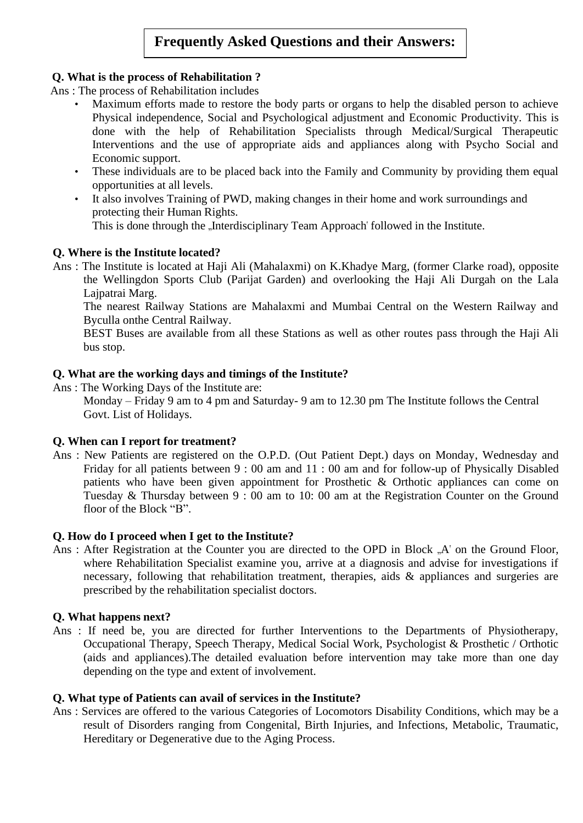# **Frequently Asked Questions and their Answers:**

## **Q. What is the process of Rehabilitation ?**

Ans : The process of Rehabilitation includes

- Maximum efforts made to restore the body parts or organs to help the disabled person to achieve Physical independence, Social and Psychological adjustment and Economic Productivity. This is done with the help of Rehabilitation Specialists through Medical/Surgical Therapeutic Interventions and the use of appropriate aids and appliances along with Psycho Social and Economic support.
- These individuals are to be placed back into the Family and Community by providing them equal opportunities at all levels.
- It also involves Training of PWD, making changes in their home and work surroundings and protecting their Human Rights. This is done through the "Interdisciplinary Team Approach' followed in the Institute.

## **Q. Where is the Institute located?**

Ans : The Institute is located at Haji Ali (Mahalaxmi) on K.Khadye Marg, (former Clarke road), opposite the Wellingdon Sports Club (Parijat Garden) and overlooking the Haji Ali Durgah on the Lala Lajpatrai Marg.

The nearest Railway Stations are Mahalaxmi and Mumbai Central on the Western Railway and Byculla onthe Central Railway.

BEST Buses are available from all these Stations as well as other routes pass through the Haji Ali bus stop.

### **Q. What are the working days and timings of the Institute?**

Ans : The Working Days of the Institute are:

Monday – Friday 9 am to 4 pm and Saturday- 9 am to 12.30 pm The Institute follows the Central Govt. List of Holidays.

#### **Q. When can I report for treatment?**

Ans : New Patients are registered on the O.P.D. (Out Patient Dept.) days on Monday, Wednesday and Friday for all patients between 9 : 00 am and 11 : 00 am and for follow-up of Physically Disabled patients who have been given appointment for Prosthetic & Orthotic appliances can come on Tuesday & Thursday between 9 : 00 am to 10: 00 am at the Registration Counter on the Ground floor of the Block "B".

## **Q. How do I proceed when I get to the Institute?**

Ans : After Registration at the Counter you are directed to the OPD in Block "A' on the Ground Floor, where Rehabilitation Specialist examine you, arrive at a diagnosis and advise for investigations if necessary, following that rehabilitation treatment, therapies, aids & appliances and surgeries are prescribed by the rehabilitation specialist doctors.

#### **Q. What happens next?**

Ans : If need be, you are directed for further Interventions to the Departments of Physiotherapy, Occupational Therapy, Speech Therapy, Medical Social Work, Psychologist & Prosthetic / Orthotic (aids and appliances).The detailed evaluation before intervention may take more than one day depending on the type and extent of involvement.

#### **Q. What type of Patients can avail of services in the Institute?**

Ans : Services are offered to the various Categories of Locomotors Disability Conditions, which may be a result of Disorders ranging from Congenital, Birth Injuries, and Infections, Metabolic, Traumatic, Hereditary or Degenerative due to the Aging Process.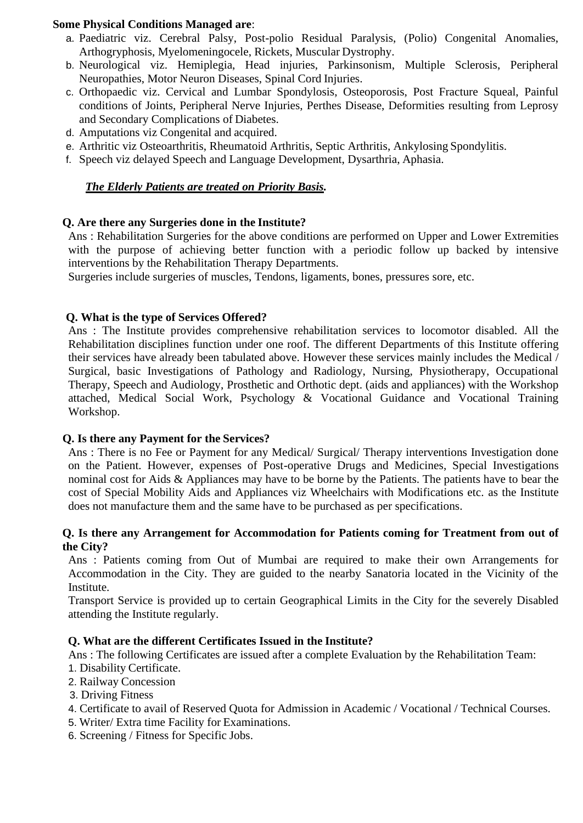#### **Some Physical Conditions Managed are**:

- a. Paediatric viz. Cerebral Palsy, Post-polio Residual Paralysis, (Polio) Congenital Anomalies, Arthogryphosis, Myelomeningocele, Rickets, Muscular Dystrophy.
- b. Neurological viz. Hemiplegia, Head injuries, Parkinsonism, Multiple Sclerosis, Peripheral Neuropathies, Motor Neuron Diseases, Spinal Cord Injuries.
- c. Orthopaedic viz. Cervical and Lumbar Spondylosis, Osteoporosis, Post Fracture Squeal, Painful conditions of Joints, Peripheral Nerve Injuries, Perthes Disease, Deformities resulting from Leprosy and Secondary Complications of Diabetes.
- d. Amputations viz Congenital and acquired.
- e. Arthritic viz Osteoarthritis, Rheumatoid Arthritis, Septic Arthritis, Ankylosing Spondylitis.
- f. Speech viz delayed Speech and Language Development, Dysarthria, Aphasia.

# *The Elderly Patients are treated on Priority Basis.*

## **Q. Are there any Surgeries done in the Institute?**

Ans : Rehabilitation Surgeries for the above conditions are performed on Upper and Lower Extremities with the purpose of achieving better function with a periodic follow up backed by intensive interventions by the Rehabilitation Therapy Departments.

Surgeries include surgeries of muscles, Tendons, ligaments, bones, pressures sore, etc.

## **Q. What is the type of Services Offered?**

Ans : The Institute provides comprehensive rehabilitation services to locomotor disabled. All the Rehabilitation disciplines function under one roof. The different Departments of this Institute offering their services have already been tabulated above. However these services mainly includes the Medical / Surgical, basic Investigations of Pathology and Radiology, Nursing, Physiotherapy, Occupational Therapy, Speech and Audiology, Prosthetic and Orthotic dept. (aids and appliances) with the Workshop attached, Medical Social Work, Psychology & Vocational Guidance and Vocational Training Workshop.

#### **Q. Is there any Payment for the Services?**

Ans : There is no Fee or Payment for any Medical/ Surgical/ Therapy interventions Investigation done on the Patient. However, expenses of Post-operative Drugs and Medicines, Special Investigations nominal cost for Aids & Appliances may have to be borne by the Patients. The patients have to bear the cost of Special Mobility Aids and Appliances viz Wheelchairs with Modifications etc. as the Institute does not manufacture them and the same have to be purchased as per specifications.

#### **Q. Is there any Arrangement for Accommodation for Patients coming for Treatment from out of the City?**

Ans : Patients coming from Out of Mumbai are required to make their own Arrangements for Accommodation in the City. They are guided to the nearby Sanatoria located in the Vicinity of the Institute.

Transport Service is provided up to certain Geographical Limits in the City for the severely Disabled attending the Institute regularly.

## **Q. What are the different Certificates Issued in the Institute?**

Ans : The following Certificates are issued after a complete Evaluation by the Rehabilitation Team:

- 1. Disability Certificate.
- 2. Railway Concession
- 3. Driving Fitness
- 4. Certificate to avail of Reserved Quota for Admission in Academic / Vocational / Technical Courses.
- 5. Writer/ Extra time Facility for Examinations.
- 6. Screening / Fitness for Specific Jobs.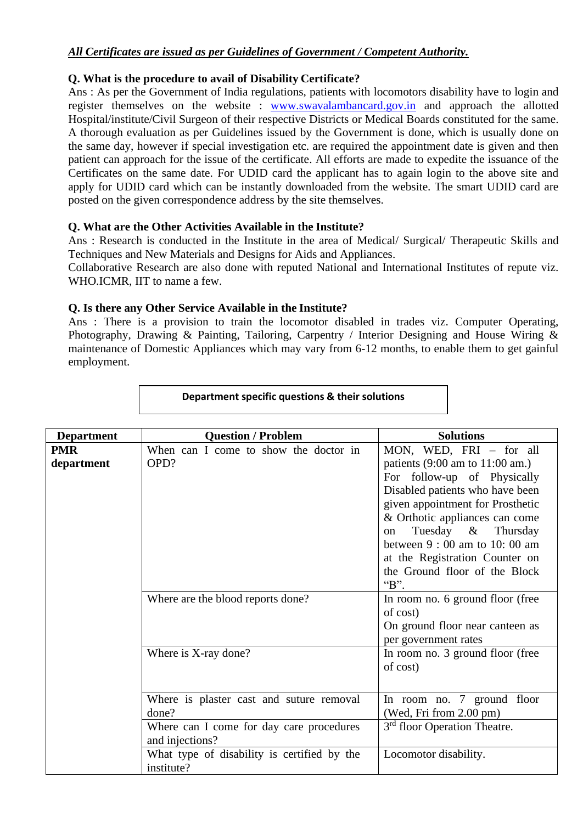## *All Certificates are issued as per Guidelines of Government / Competent Authority.*

### **Q. What is the procedure to avail of Disability Certificate?**

Ans : As per the Government of India regulations, patients with locomotors disability have to login and register themselves on the website : [www.swavalambancard.gov.in](http://www.swavalambancard.gov.in/) and approach the allotted Hospital/institute/Civil Surgeon of their respective Districts or Medical Boards constituted for the same. A thorough evaluation as per Guidelines issued by the Government is done, which is usually done on the same day, however if special investigation etc. are required the appointment date is given and then patient can approach for the issue of the certificate. All efforts are made to expedite the issuance of the Certificates on the same date. For UDID card the applicant has to again login to the above site and apply for UDID card which can be instantly downloaded from the website. The smart UDID card are posted on the given correspondence address by the site themselves.

## **Q. What are the Other Activities Available in the Institute?**

Ans : Research is conducted in the Institute in the area of Medical/ Surgical/ Therapeutic Skills and Techniques and New Materials and Designs for Aids and Appliances.

Collaborative Research are also done with reputed National and International Institutes of repute viz. WHO.ICMR, IIT to name a few.

## **Q. Is there any Other Service Available in the Institute?**

Ans : There is a provision to train the locomotor disabled in trades viz. Computer Operating, Photography, Drawing & Painting, Tailoring, Carpentry / Interior Designing and House Wiring & maintenance of Domestic Appliances which may vary from 6-12 months, to enable them to get gainful employment.

| <b>Department</b>        | <b>Question / Problem</b>                                   | <b>Solutions</b>                                                                                                                                                                                                                                                                                                                                                  |
|--------------------------|-------------------------------------------------------------|-------------------------------------------------------------------------------------------------------------------------------------------------------------------------------------------------------------------------------------------------------------------------------------------------------------------------------------------------------------------|
| <b>PMR</b><br>department | When can I come to show the doctor in<br>OPD?               | MON, WED, FRI - for all<br>patients $(9:00 \text{ am to } 11:00 \text{ am.})$<br>For follow-up of Physically<br>Disabled patients who have been<br>given appointment for Prosthetic<br>& Orthotic appliances can come<br>Tuesday & Thursday<br>on<br>between $9:00$ am to 10:00 am<br>at the Registration Counter on<br>the Ground floor of the Block<br>" $B$ ". |
|                          | Where are the blood reports done?                           | In room no. 6 ground floor (free<br>of cost)<br>On ground floor near canteen as<br>per government rates                                                                                                                                                                                                                                                           |
|                          | Where is X-ray done?                                        | In room no. 3 ground floor (free<br>of cost)                                                                                                                                                                                                                                                                                                                      |
|                          | Where is plaster cast and suture removal<br>done?           | In room no. 7 ground floor<br>(Wed, Fri from 2.00 pm)                                                                                                                                                                                                                                                                                                             |
|                          | Where can I come for day care procedures<br>and injections? | 3 <sup>rd</sup> floor Operation Theatre.                                                                                                                                                                                                                                                                                                                          |
|                          | What type of disability is certified by the<br>institute?   | Locomotor disability.                                                                                                                                                                                                                                                                                                                                             |

### **Department specific questions & their solutions**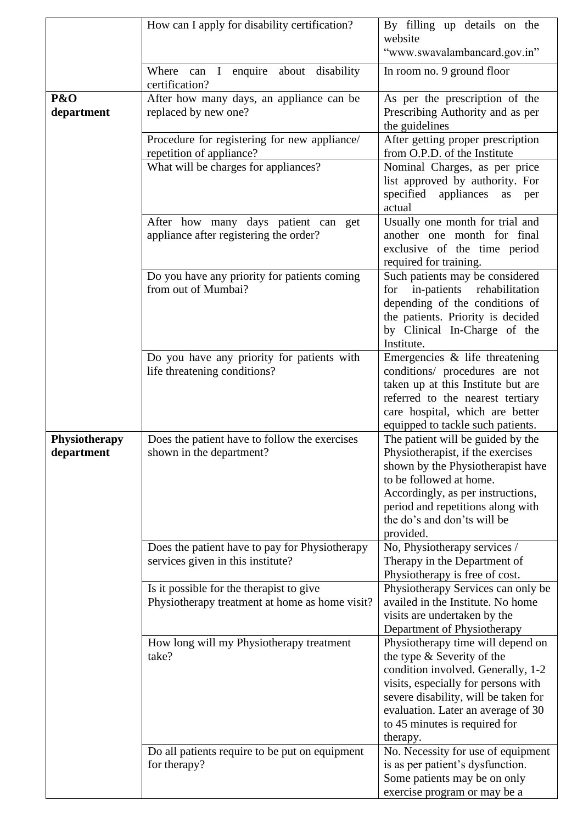|                             | How can I apply for disability certification?                                              | By filling up details on the<br>website<br>"www.swavalambancard.gov.in"                                                                                                                                                                                                 |
|-----------------------------|--------------------------------------------------------------------------------------------|-------------------------------------------------------------------------------------------------------------------------------------------------------------------------------------------------------------------------------------------------------------------------|
|                             | Where can I enquire<br>about<br>disability<br>certification?                               | In room no. 9 ground floor                                                                                                                                                                                                                                              |
| P&O<br>department           | After how many days, an appliance can be<br>replaced by new one?                           | As per the prescription of the<br>Prescribing Authority and as per<br>the guidelines                                                                                                                                                                                    |
|                             | Procedure for registering for new appliance/<br>repetition of appliance?                   | After getting proper prescription<br>from O.P.D. of the Institute                                                                                                                                                                                                       |
|                             | What will be charges for appliances?                                                       | Nominal Charges, as per price<br>list approved by authority. For<br>specified<br>appliances<br>as<br>per<br>actual                                                                                                                                                      |
|                             | After how many days patient can get<br>appliance after registering the order?              | Usually one month for trial and<br>another one month for final<br>exclusive of the time period<br>required for training.                                                                                                                                                |
|                             | Do you have any priority for patients coming<br>from out of Mumbai?                        | Such patients may be considered<br>rehabilitation<br>in-patients<br>for<br>depending of the conditions of<br>the patients. Priority is decided<br>by Clinical In-Charge of the<br>Institute.                                                                            |
|                             | Do you have any priority for patients with<br>life threatening conditions?                 | Emergencies $\&$ life threatening<br>conditions/ procedures are not<br>taken up at this Institute but are<br>referred to the nearest tertiary<br>care hospital, which are better<br>equipped to tackle such patients.                                                   |
| Physiotherapy<br>department | Does the patient have to follow the exercises<br>shown in the department?                  | The patient will be guided by the<br>Physiotherapist, if the exercises<br>shown by the Physiotherapist have<br>to be followed at home.<br>Accordingly, as per instructions,<br>period and repetitions along with<br>the do's and don'ts will be<br>provided.            |
|                             | Does the patient have to pay for Physiotherapy<br>services given in this institute?        | No, Physiotherapy services /<br>Therapy in the Department of<br>Physiotherapy is free of cost.                                                                                                                                                                          |
|                             | Is it possible for the therapist to give<br>Physiotherapy treatment at home as home visit? | Physiotherapy Services can only be<br>availed in the Institute. No home<br>visits are undertaken by the<br>Department of Physiotherapy                                                                                                                                  |
|                             | How long will my Physiotherapy treatment<br>take?                                          | Physiotherapy time will depend on<br>the type & Severity of the<br>condition involved. Generally, 1-2<br>visits, especially for persons with<br>severe disability, will be taken for<br>evaluation. Later an average of 30<br>to 45 minutes is required for<br>therapy. |
|                             | Do all patients require to be put on equipment<br>for therapy?                             | No. Necessity for use of equipment<br>is as per patient's dysfunction.<br>Some patients may be on only<br>exercise program or may be a                                                                                                                                  |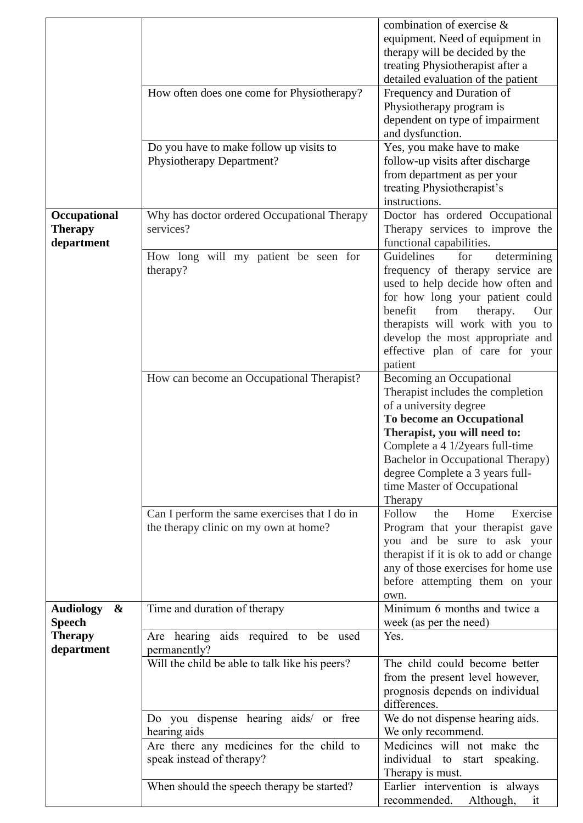|                                              |                                                                                        | combination of exercise &<br>equipment. Need of equipment in<br>therapy will be decided by the<br>treating Physiotherapist after a<br>detailed evaluation of the patient                                                                                                                                         |
|----------------------------------------------|----------------------------------------------------------------------------------------|------------------------------------------------------------------------------------------------------------------------------------------------------------------------------------------------------------------------------------------------------------------------------------------------------------------|
|                                              | How often does one come for Physiotherapy?                                             | Frequency and Duration of<br>Physiotherapy program is<br>dependent on type of impairment<br>and dysfunction.                                                                                                                                                                                                     |
|                                              | Do you have to make follow up visits to<br>Physiotherapy Department?                   | Yes, you make have to make<br>follow-up visits after discharge<br>from department as per your<br>treating Physiotherapist's<br>instructions.                                                                                                                                                                     |
| Occupational<br><b>Therapy</b><br>department | Why has doctor ordered Occupational Therapy<br>services?                               | Doctor has ordered Occupational<br>Therapy services to improve the<br>functional capabilities.                                                                                                                                                                                                                   |
|                                              | How long will my patient be seen for<br>therapy?                                       | Guidelines<br>determining<br>for<br>frequency of therapy service are<br>used to help decide how often and<br>for how long your patient could<br>benefit<br>from<br>therapy.<br>Our<br>therapists will work with you to<br>develop the most appropriate and<br>effective plan of care for your<br>patient         |
|                                              | How can become an Occupational Therapist?                                              | Becoming an Occupational<br>Therapist includes the completion<br>of a university degree<br><b>To become an Occupational</b><br>Therapist, you will need to:<br>Complete a 4 1/2years full-time<br>Bachelor in Occupational Therapy)<br>degree Complete a 3 years full-<br>time Master of Occupational<br>Therapy |
|                                              | Can I perform the same exercises that I do in<br>the therapy clinic on my own at home? | Follow<br>Home<br>Exercise<br>the<br>Program that your therapist gave<br>you and be sure to ask your<br>therapist if it is ok to add or change<br>any of those exercises for home use<br>before attempting them on your<br>own.                                                                                  |
| &<br><b>Audiology</b><br><b>Speech</b>       | Time and duration of therapy                                                           | Minimum 6 months and twice a<br>week (as per the need)                                                                                                                                                                                                                                                           |
| <b>Therapy</b><br>department                 | Are hearing aids required to be used<br>permanently?                                   | Yes.                                                                                                                                                                                                                                                                                                             |
|                                              | Will the child be able to talk like his peers?                                         | The child could become better<br>from the present level however,<br>prognosis depends on individual<br>differences.                                                                                                                                                                                              |
|                                              | Do you dispense hearing aids/ or free<br>hearing aids                                  | We do not dispense hearing aids.<br>We only recommend.                                                                                                                                                                                                                                                           |
|                                              | Are there any medicines for the child to<br>speak instead of therapy?                  | Medicines will not make the<br>individual to start speaking.<br>Therapy is must.                                                                                                                                                                                                                                 |
|                                              | When should the speech therapy be started?                                             | Earlier intervention is always<br>recommended.<br>Although,<br>it                                                                                                                                                                                                                                                |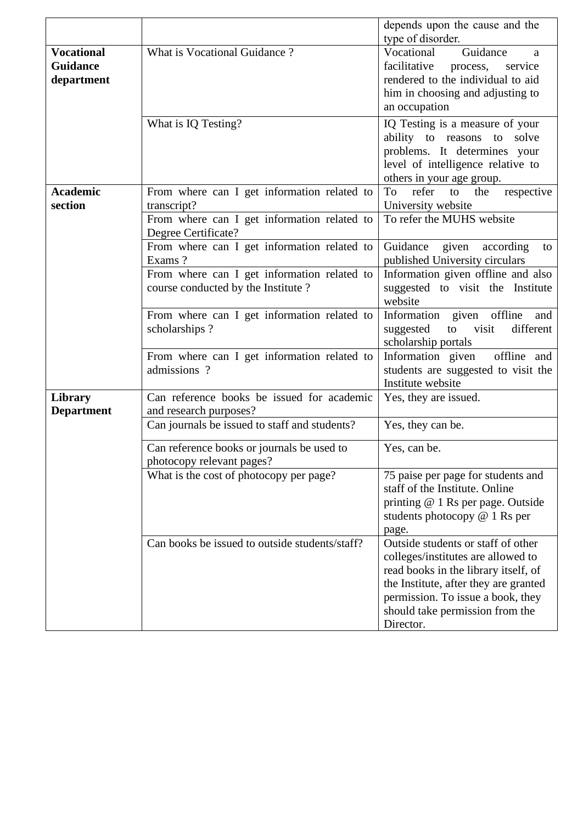|                                                    |                                                                                   | depends upon the cause and the                                                                                                                                                                                                                 |
|----------------------------------------------------|-----------------------------------------------------------------------------------|------------------------------------------------------------------------------------------------------------------------------------------------------------------------------------------------------------------------------------------------|
|                                                    |                                                                                   | type of disorder.                                                                                                                                                                                                                              |
| <b>Vocational</b><br><b>Guidance</b><br>department | What is Vocational Guidance?                                                      | Vocational<br>Guidance<br>a<br>facilitative<br>service<br>process,<br>rendered to the individual to aid<br>him in choosing and adjusting to<br>an occupation                                                                                   |
|                                                    | What is IQ Testing?                                                               | IQ Testing is a measure of your<br>ability to reasons to solve<br>problems. It determines your<br>level of intelligence relative to<br>others in your age group.                                                                               |
| <b>Academic</b><br>section                         | From where can I get information related to<br>transcript?                        | refer<br>To<br>to<br>the<br>respective<br>University website                                                                                                                                                                                   |
|                                                    | From where can I get information related to<br>Degree Certificate?                | To refer the MUHS website                                                                                                                                                                                                                      |
|                                                    | From where can I get information related to<br>Exams?                             | Guidance given<br>according<br>to<br>published University circulars                                                                                                                                                                            |
|                                                    | From where can I get information related to<br>course conducted by the Institute? | Information given offline and also<br>suggested to visit the Institute<br>website                                                                                                                                                              |
|                                                    | From where can I get information related to<br>scholarships?                      | Information given offline<br>and<br>visit<br>different<br>suggested<br>to<br>scholarship portals                                                                                                                                               |
|                                                    | From where can I get information related to<br>admissions ?                       | Information given offline and<br>students are suggested to visit the<br>Institute website                                                                                                                                                      |
| Library<br><b>Department</b>                       | Can reference books be issued for academic<br>and research purposes?              | Yes, they are issued.                                                                                                                                                                                                                          |
|                                                    | Can journals be issued to staff and students?                                     | Yes, they can be.                                                                                                                                                                                                                              |
|                                                    | Can reference books or journals be used to<br>photocopy relevant pages?           | Yes, can be.                                                                                                                                                                                                                                   |
|                                                    | What is the cost of photocopy per page?                                           | 75 paise per page for students and<br>staff of the Institute. Online<br>printing @ 1 Rs per page. Outside<br>students photocopy $@$ 1 Rs per<br>page.                                                                                          |
|                                                    | Can books be issued to outside students/staff?                                    | Outside students or staff of other<br>colleges/institutes are allowed to<br>read books in the library itself, of<br>the Institute, after they are granted<br>permission. To issue a book, they<br>should take permission from the<br>Director. |